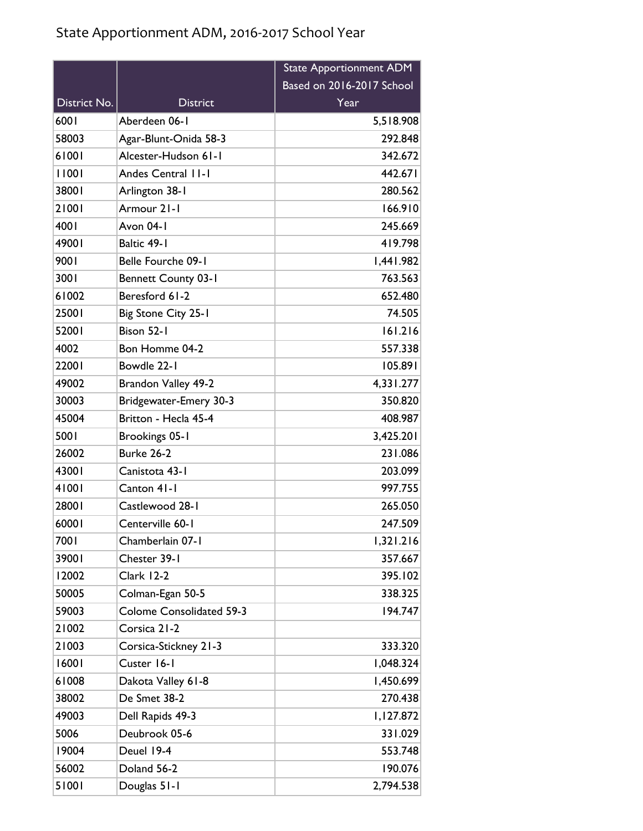|              |                                 | <b>State Apportionment ADM</b> |
|--------------|---------------------------------|--------------------------------|
|              |                                 | Based on 2016-2017 School      |
| District No. | <b>District</b>                 | Year                           |
| 6001         | Aberdeen 06-1                   | 5,518.908                      |
| 58003        | Agar-Blunt-Onida 58-3           | 292.848                        |
| 61001        | Alcester-Hudson 61-1            | 342.672                        |
| 11001        | Andes Central II-I              | 442.671                        |
| 38001        | Arlington 38-1                  | 280.562                        |
| 21001        | Armour 21-1                     | 166.910                        |
| 4001         | Avon 04-1                       | 245.669                        |
| 49001        | Baltic 49-1                     | 419.798                        |
| 9001         | Belle Fourche 09-1              | 1,441.982                      |
| 3001         | <b>Bennett County 03-1</b>      | 763.563                        |
| 61002        | Beresford 61-2                  | 652.480                        |
| 25001        | Big Stone City 25-1             | 74.505                         |
| 52001        | Bison 52-1                      | 161.216                        |
| 4002         | Bon Homme 04-2                  | 557.338                        |
| 22001        | Bowdle 22-1                     | 105.891                        |
| 49002        | Brandon Valley 49-2             | 4,331.277                      |
| 30003        | Bridgewater-Emery 30-3          | 350.820                        |
| 45004        | Britton - Hecla 45-4            | 408.987                        |
| 5001         | Brookings 05-1                  | 3,425.201                      |
| 26002        | Burke 26-2                      | 231.086                        |
| 43001        | Canistota 43-1                  | 203.099                        |
| 41001        | Canton 41-1                     | 997.755                        |
| 28001        | Castlewood 28-1                 | 265.050                        |
| 60001        | Centerville 60-1                | 247.509                        |
| 7001         | Chamberlain 07-1                | 1,321.216                      |
| 39001        | Chester 39-1                    | 357.667                        |
| 12002        | Clark 12-2                      | 395.102                        |
| 50005        | Colman-Egan 50-5                | 338.325                        |
| 59003        | <b>Colome Consolidated 59-3</b> | 194.747                        |
| 21002        | Corsica 21-2                    |                                |
| 21003        | Corsica-Stickney 21-3           | 333.320                        |
| 16001        | Custer 16-1                     | 1,048.324                      |
| 61008        | Dakota Valley 61-8              | 1,450.699                      |
| 38002        | De Smet 38-2                    | 270.438                        |
| 49003        | Dell Rapids 49-3                | 1,127.872                      |
| 5006         | Deubrook 05-6                   | 331.029                        |
| 19004        | Deuel 19-4                      | 553.748                        |
| 56002        | Doland 56-2                     | 190.076                        |
| 51001        | Douglas 51-1                    | 2,794.538                      |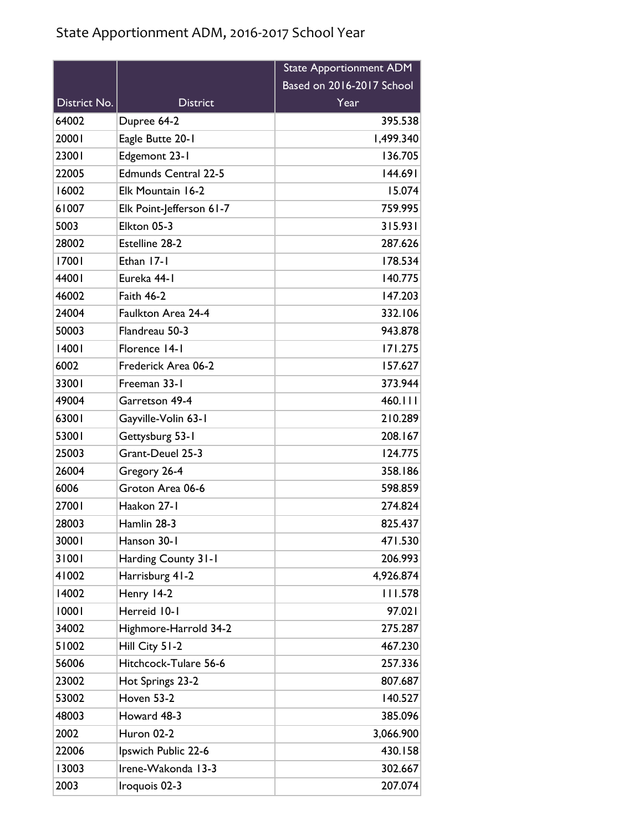|              |                             | <b>State Apportionment ADM</b> |
|--------------|-----------------------------|--------------------------------|
|              |                             | Based on 2016-2017 School      |
| District No. | <b>District</b>             | Year                           |
| 64002        | Dupree 64-2                 | 395.538                        |
| 20001        | Eagle Butte 20-1            | 1,499.340                      |
| 23001        | Edgemont 23-1               | 136.705                        |
| 22005        | <b>Edmunds Central 22-5</b> | 144.691                        |
| 16002        | Elk Mountain 16-2           | 15.074                         |
| 61007        | Elk Point-Jefferson 61-7    | 759.995                        |
| 5003         | Elkton 05-3                 | 315.931                        |
| 28002        | Estelline 28-2              | 287.626                        |
| 17001        | Ethan 17-1                  | 178.534                        |
| 44001        | Eureka 44-1                 | 140.775                        |
| 46002        | <b>Faith 46-2</b>           | 147.203                        |
| 24004        | Faulkton Area 24-4          | 332.106                        |
| 50003        | Flandreau 50-3              | 943.878                        |
| 14001        | Florence 14-1               | 171.275                        |
| 6002         | Frederick Area 06-2         | 157.627                        |
| 33001        | Freeman 33-1                | 373.944                        |
| 49004        | Garretson 49-4              | 460.111                        |
| 63001        | Gayville-Volin 63-1         | 210.289                        |
| 53001        | Gettysburg 53-1             | 208.167                        |
| 25003        | Grant-Deuel 25-3            | 124.775                        |
| 26004        | Gregory 26-4                | 358.186                        |
| 6006         | Groton Area 06-6            | 598.859                        |
| 27001        | Haakon 27-1                 | 274.824                        |
| 28003        | Hamlin 28-3                 | 825.437                        |
| 30001        | Hanson 30-1                 | 471.530                        |
| 31001        | Harding County 31-1         | 206.993                        |
| 41002        | Harrisburg 41-2             | 4,926.874                      |
| 14002        | Henry 14-2                  | 111.578                        |
| 10001        | Herreid 10-1                | 97.021                         |
| 34002        | Highmore-Harrold 34-2       | 275.287                        |
| 51002        | Hill City 51-2              | 467.230                        |
| 56006        | Hitchcock-Tulare 56-6       | 257.336                        |
| 23002        | Hot Springs 23-2            | 807.687                        |
| 53002        | Hoven 53-2                  | 140.527                        |
| 48003        | Howard 48-3                 | 385.096                        |
| 2002         | Huron 02-2                  | 3,066.900                      |
| 22006        | Ipswich Public 22-6         | 430.158                        |
| 13003        | Irene-Wakonda 13-3          | 302.667                        |
| 2003         | Iroquois 02-3               | 207.074                        |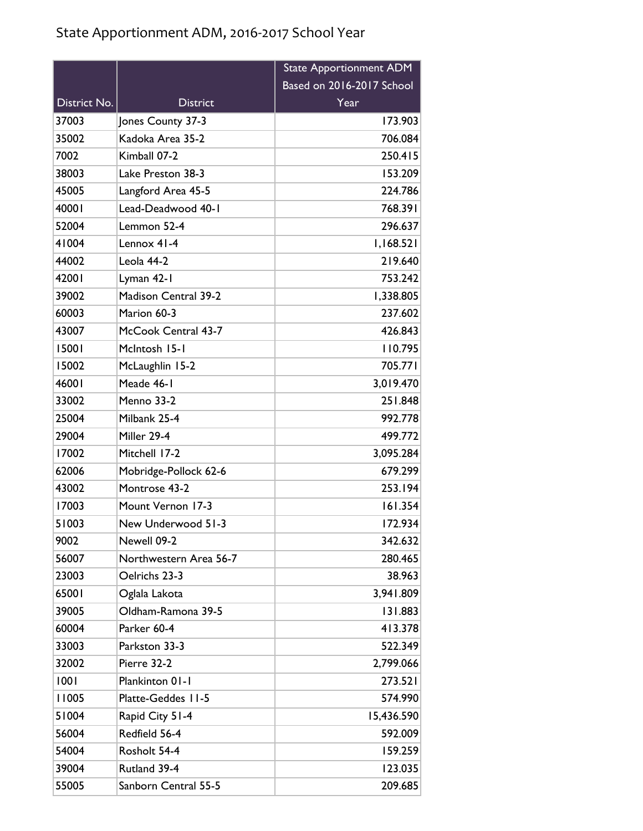|              |                             | <b>State Apportionment ADM</b> |
|--------------|-----------------------------|--------------------------------|
|              |                             | Based on 2016-2017 School      |
| District No. | <b>District</b>             | Year                           |
| 37003        | Jones County 37-3           | 173.903                        |
| 35002        | Kadoka Area 35-2            | 706.084                        |
| 7002         | Kimball 07-2                | 250.415                        |
| 38003        | Lake Preston 38-3           | 153.209                        |
| 45005        | Langford Area 45-5          | 224.786                        |
| 40001        | Lead-Deadwood 40-1          | 768.391                        |
| 52004        | Lemmon 52-4                 | 296.637                        |
| 41004        | Lennox 41-4                 | 1,168.521                      |
| 44002        | Leola 44-2                  | 219.640                        |
| 42001        | Lyman 42-1                  | 753.242                        |
| 39002        | <b>Madison Central 39-2</b> | 1,338.805                      |
| 60003        | Marion 60-3                 | 237.602                        |
| 43007        | McCook Central 43-7         | 426.843                        |
| 15001        | McIntosh 15-1               | 110.795                        |
| 15002        | McLaughlin 15-2             | 705.771                        |
| 46001        | Meade 46-1                  | 3,019.470                      |
| 33002        | Menno 33-2                  | 251.848                        |
| 25004        | Milbank 25-4                | 992.778                        |
| 29004        | Miller 29-4                 | 499.772                        |
| 17002        | Mitchell 17-2               | 3,095.284                      |
| 62006        | Mobridge-Pollock 62-6       | 679.299                        |
| 43002        | Montrose 43-2               | 253.194                        |
| 17003        | Mount Vernon 17-3           | 161.354                        |
| 51003        | New Underwood 51-3          | 172.934                        |
| 9002         | Newell 09-2                 | 342.632                        |
| 56007        | Northwestern Area 56-7      | 280.465                        |
| 23003        | Oelrichs 23-3               | 38.963                         |
| 65001        | Oglala Lakota               | 3,941.809                      |
| 39005        | Oldham-Ramona 39-5          | 131.883                        |
| 60004        | Parker 60-4                 | 413.378                        |
| 33003        | Parkston 33-3               | 522.349                        |
| 32002        | Pierre 32-2                 | 2,799.066                      |
| 1001         | Plankinton 01-1             | 273.521                        |
| 11005        | Platte-Geddes 11-5          | 574.990                        |
| 51004        | Rapid City 51-4             | 15,436.590                     |
| 56004        | Redfield 56-4               | 592.009                        |
| 54004        | Rosholt 54-4                | 159.259                        |
| 39004        | Rutland 39-4                | 123.035                        |
| 55005        | Sanborn Central 55-5        | 209.685                        |